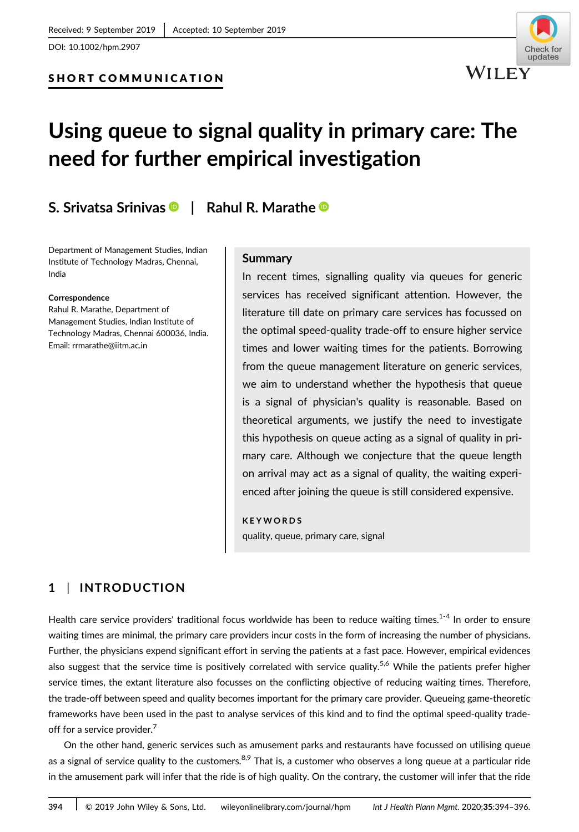## SHORT COMMUNICATION



WILEY

# **Using queue to signal quality in primary care: The need for further empirical investigation**

# **S. Srivatsa Srinivas | Rahul R. Marathe**

Department of Management Studies, Indian Institute of Technology Madras, Chennai, India

#### **Correspondence**

Rahul R. Marathe, Department of Management Studies, Indian Institute of Technology Madras, Chennai 600036, India. Email: rrmarathe@iitm.ac.in

## **Summary**

In recent times, signalling quality via queues for generic services has received significant attention. However, the literature till date on primary care services has focussed on the optimal speed-quality trade-off to ensure higher service times and lower waiting times for the patients. Borrowing from the queue management literature on generic services, we aim to understand whether the hypothesis that queue is a signal of physician's quality is reasonable. Based on theoretical arguments, we justify the need to investigate this hypothesis on queue acting as a signal of quality in primary care. Although we conjecture that the queue length on arrival may act as a signal of quality, the waiting experienced after joining the queue is still considered expensive.

#### **KEYWORDS**

quality, queue, primary care, signal

## **1** | **INTRODUCTION**

Health care service providers' traditional focus worldwide has been to reduce waiting times.<sup>1-4</sup> In order to ensure waiting times are minimal, the primary care providers incur costs in the form of increasing the number of physicians. Further, the physicians expend significant effort in serving the patients at a fast pace. However, empirical evidences also suggest that the service time is positively correlated with service quality.<sup>5,6</sup> While the patients prefer higher service times, the extant literature also focusses on the conflicting objective of reducing waiting times. Therefore, the trade-off between speed and quality becomes important for the primary care provider. Queueing game-theoretic frameworks have been used in the past to analyse services of this kind and to find the optimal speed-quality tradeoff for a service provider.<sup>7</sup>

On the other hand, generic services such as amusement parks and restaurants have focussed on utilising queue as a signal of service quality to the customers.<sup>8,9</sup> That is, a customer who observes a long queue at a particular ride in the amusement park will infer that the ride is of high quality. On the contrary, the customer will infer that the ride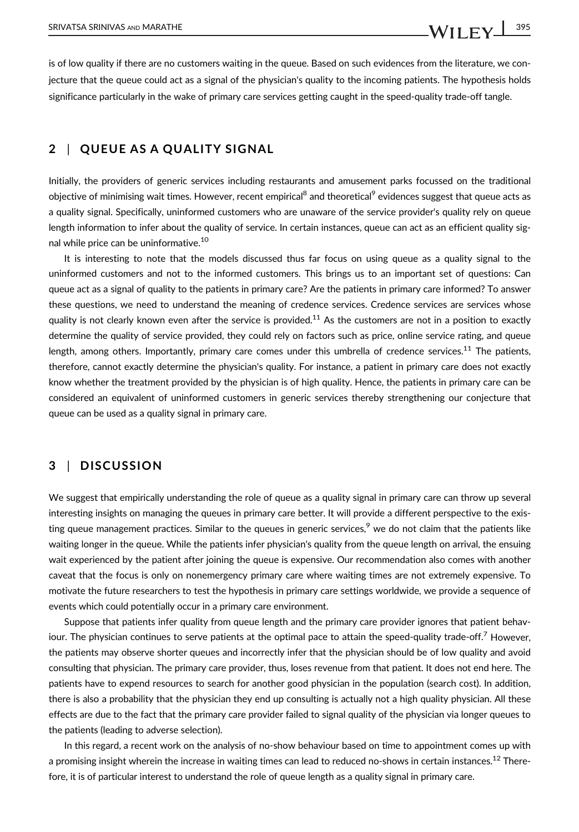is of low quality if there are no customers waiting in the queue. Based on such evidences from the literature, we conjecture that the queue could act as a signal of the physician's quality to the incoming patients. The hypothesis holds significance particularly in the wake of primary care services getting caught in the speed-quality trade-off tangle.

## **2** | **QUEUE AS A QUALITY SIGNAL**

Initially, the providers of generic services including restaurants and amusement parks focussed on the traditional objective of minimising wait times. However, recent empirical<sup>8</sup> and theoretical<sup>9</sup> evidences suggest that queue acts as a quality signal. Specifically, uninformed customers who are unaware of the service provider's quality rely on queue length information to infer about the quality of service. In certain instances, queue can act as an efficient quality signal while price can be uninformative.10

It is interesting to note that the models discussed thus far focus on using queue as a quality signal to the uninformed customers and not to the informed customers. This brings us to an important set of questions: Can queue act as a signal of quality to the patients in primary care? Are the patients in primary care informed? To answer these questions, we need to understand the meaning of credence services. Credence services are services whose quality is not clearly known even after the service is provided.<sup>11</sup> As the customers are not in a position to exactly determine the quality of service provided, they could rely on factors such as price, online service rating, and queue length, among others. Importantly, primary care comes under this umbrella of credence services.<sup>11</sup> The patients, therefore, cannot exactly determine the physician's quality. For instance, a patient in primary care does not exactly know whether the treatment provided by the physician is of high quality. Hence, the patients in primary care can be considered an equivalent of uninformed customers in generic services thereby strengthening our conjecture that queue can be used as a quality signal in primary care.

## **3** | **DISCUSSION**

We suggest that empirically understanding the role of queue as a quality signal in primary care can throw up several interesting insights on managing the queues in primary care better. It will provide a different perspective to the existing queue management practices. Similar to the queues in generic services,<sup>9</sup> we do not claim that the patients like waiting longer in the queue. While the patients infer physician's quality from the queue length on arrival, the ensuing wait experienced by the patient after joining the queue is expensive. Our recommendation also comes with another caveat that the focus is only on nonemergency primary care where waiting times are not extremely expensive. To motivate the future researchers to test the hypothesis in primary care settings worldwide, we provide a sequence of events which could potentially occur in a primary care environment.

Suppose that patients infer quality from queue length and the primary care provider ignores that patient behaviour. The physician continues to serve patients at the optimal pace to attain the speed-quality trade-off.7 However, the patients may observe shorter queues and incorrectly infer that the physician should be of low quality and avoid consulting that physician. The primary care provider, thus, loses revenue from that patient. It does not end here. The patients have to expend resources to search for another good physician in the population (search cost). In addition, there is also a probability that the physician they end up consulting is actually not a high quality physician. All these effects are due to the fact that the primary care provider failed to signal quality of the physician via longer queues to the patients (leading to adverse selection).

In this regard, a recent work on the analysis of no-show behaviour based on time to appointment comes up with a promising insight wherein the increase in waiting times can lead to reduced no-shows in certain instances.<sup>12</sup> Therefore, it is of particular interest to understand the role of queue length as a quality signal in primary care.